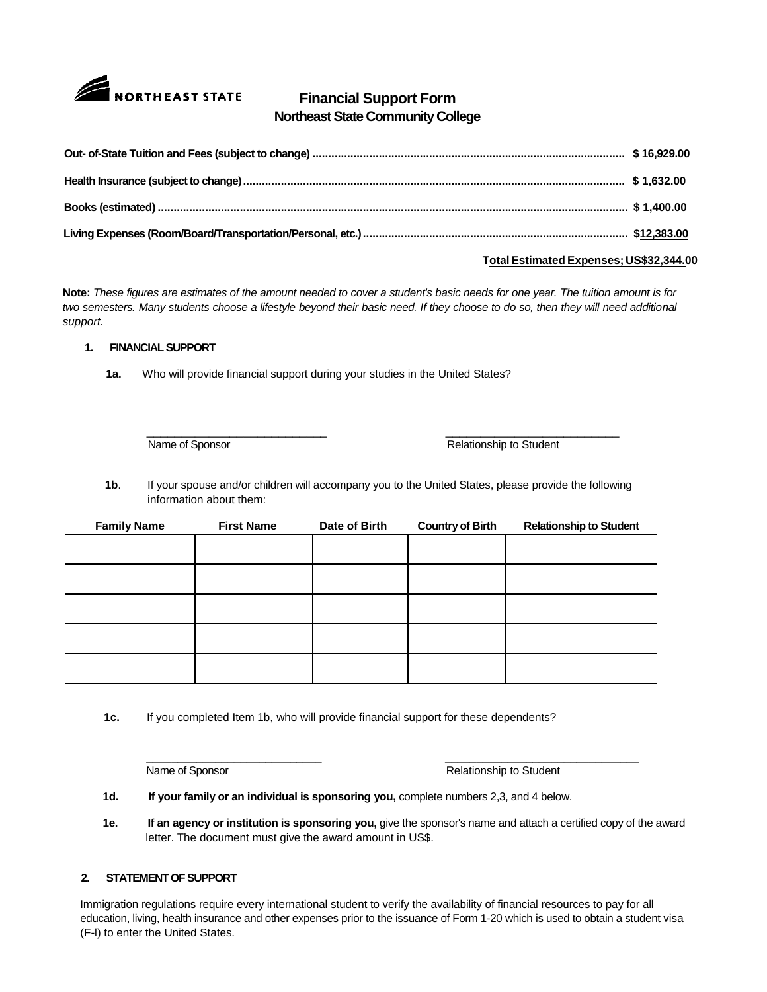

# **Financial Support Form Northeast State Community College**

### **Total Estimated Expenses; US\$32,344.00**

**Note:** *These figures are estimates of the amount needed to cover a student's basic needs for one year. The tuition amount is for two semesters. Many students choose a lifestyle beyond their basic need. If they choose to do so, then they will need additional support.*

### **1. FINANCIAL SUPPORT**

**1a.** Who will provide financial support during your studies in the United States?

\_\_\_\_\_\_\_\_\_\_\_\_\_\_\_\_\_\_\_\_\_\_\_\_\_\_ \_\_\_\_\_\_\_\_\_\_\_\_\_\_\_\_\_\_\_\_\_\_\_\_\_

Name of Sponsor **Relationship to Student** Relationship to Student

**1b**. If your spouse and/or children will accompany you to the United States, please provide the following information about them:

| <b>Family Name</b> | <b>First Name</b> | Date of Birth | <b>Country of Birth</b> | <b>Relationship to Student</b> |
|--------------------|-------------------|---------------|-------------------------|--------------------------------|
|                    |                   |               |                         |                                |
|                    |                   |               |                         |                                |
|                    |                   |               |                         |                                |
|                    |                   |               |                         |                                |
|                    |                   |               |                         |                                |

**1c.** If you completed Item 1b, who will provide financial support for these dependents?

**\_\_\_\_\_\_\_\_\_\_\_\_\_\_\_\_\_\_\_\_\_\_\_\_\_\_\_\_ \_\_\_\_\_\_\_\_\_\_\_\_\_\_\_\_\_\_\_\_\_\_\_\_\_\_\_\_\_\_\_** Name of Sponsor **Relationship to Student** 

**1d. If your family or an individual is sponsoring you,** complete numbers 2,3, and 4 below.

**1e. If an agency or institution is sponsoring you,** give the sponsor's name and attach a certified copy of the award letter. The document must give the award amount in US\$.

## **2. STATEMENT OF SUPPORT**

Immigration regulations require every international student to verify the availability of financial resources to pay for all education, living, health insurance and other expenses prior to the issuance of Form 1-20 which is used to obtain a student visa (F-l) to enter the United States.